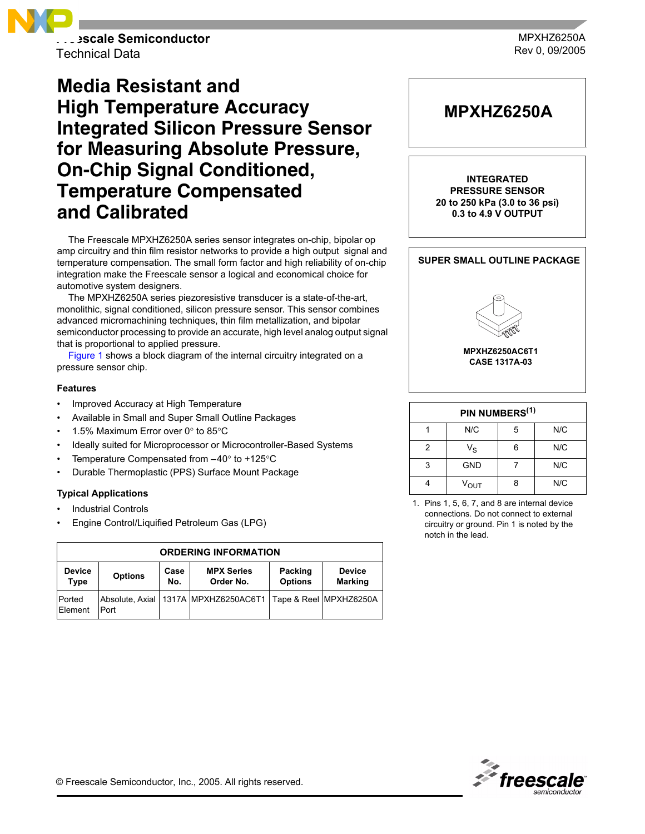

**Freescale Semiconductor** Technical Data

MPXHZ6250A Rev 0, 09/2005

# **Media Resistant and High Temperature Accuracy Integrated Silicon Pressure Sensor for Measuring Absolute Pressure, On-Chip Signal Conditioned, Temperature Compensated and Calibrated**

The Freescale MPXHZ6250A series sensor integrates on-chip, bipolar op amp circuitry and thin film resistor networks to provide a high output signal and temperature compensation. The small form factor and high reliability of on-chip integration make the Freescale sensor a logical and economical choice for automotive system designers.

The MPXHZ6250A series piezoresistive transducer is a state-of-the-art, monolithic, signal conditioned, silicon pressure sensor. This sensor combines advanced micromachining techniques, thin film metallization, and bipolar semiconductor processing to provide an accurate, high level analog output signal that is proportional to applied pressure.

Figure 1 shows a block diagram of the internal circuitry integrated on a pressure sensor chip.

#### **Features**

- Improved Accuracy at High Temperature
- Available in Small and Super Small Outline Packages
- 1.5% Maximum Error over  $0^\circ$  to 85 $^\circ$ C
- Ideally suited for Microprocessor or Microcontroller-Based Systems
- Temperature Compensated from  $-40^{\circ}$  to +125 $^{\circ}$ C
- Durable Thermoplastic (PPS) Surface Mount Package

#### **Typical Applications**

- Industrial Controls
- Engine Control/Liquified Petroleum Gas (LPG)

| <b>ORDERING INFORMATION</b> |                |             |                                                                     |                           |                                 |  |
|-----------------------------|----------------|-------------|---------------------------------------------------------------------|---------------------------|---------------------------------|--|
| <b>Device</b><br>Type       | <b>Options</b> | Case<br>No. | <b>MPX Series</b><br>Order No.                                      | Packing<br><b>Options</b> | <b>Device</b><br><b>Marking</b> |  |
| <b>Ported</b><br>Element    | Port           |             | Absolute, Axial   1317A   MPXHZ6250AC6T1   Tape & Reel   MPXHZ6250A |                           |                                 |  |



| PIN NUMBERS <sup>(1)</sup> |                  |   |     |  |  |
|----------------------------|------------------|---|-----|--|--|
|                            | N/C              | 5 | N/C |  |  |
| 2                          | $V_S$            |   | N/C |  |  |
| 3                          | <b>GND</b>       |   | N/C |  |  |
|                            | $V_{\text{OUT}}$ |   | N/C |  |  |

<sup>1.</sup> Pins 1, 5, 6, 7, and 8 are internal device connections. Do not connect to external circuitry or ground. Pin 1 is noted by the notch in the lead.

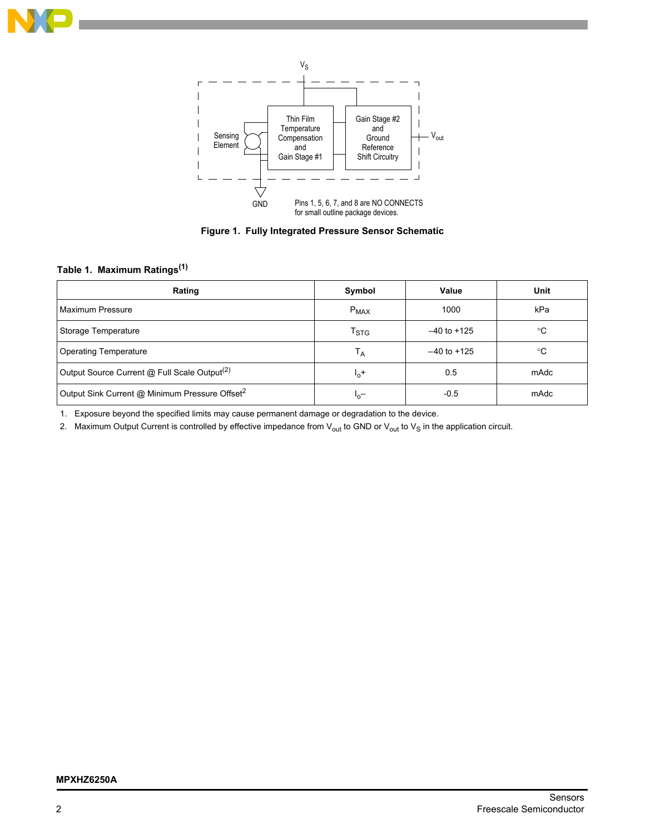



**Figure 1. Fully Integrated Pressure Sensor Schematic**

# **Table 1. Maximum Ratings(1)**

| Rating                                                     | Symbol             | Value           | Unit        |
|------------------------------------------------------------|--------------------|-----------------|-------------|
| Maximum Pressure                                           | $P_{MAX}$          | 1000            | kPa         |
| Storage Temperature                                        | $T_{\mathrm{STG}}$ | $-40$ to $+125$ | $^{\circ}C$ |
| <b>Operating Temperature</b>                               | Т <sub>А</sub>     | $-40$ to $+125$ | ℃           |
| Output Source Current @ Full Scale Output <sup>(2)</sup>   | $I_0$ +            | 0.5             | mAdc        |
| Output Sink Current @ Minimum Pressure Offset <sup>2</sup> | $I_0$ -            | $-0.5$          | mAdc        |

1. Exposure beyond the specified limits may cause permanent damage or degradation to the device.

2. Maximum Output Current is controlled by effective impedance from  $V_{out}$  to GND or  $V_{out}$  to  $V_S$  in the application circuit.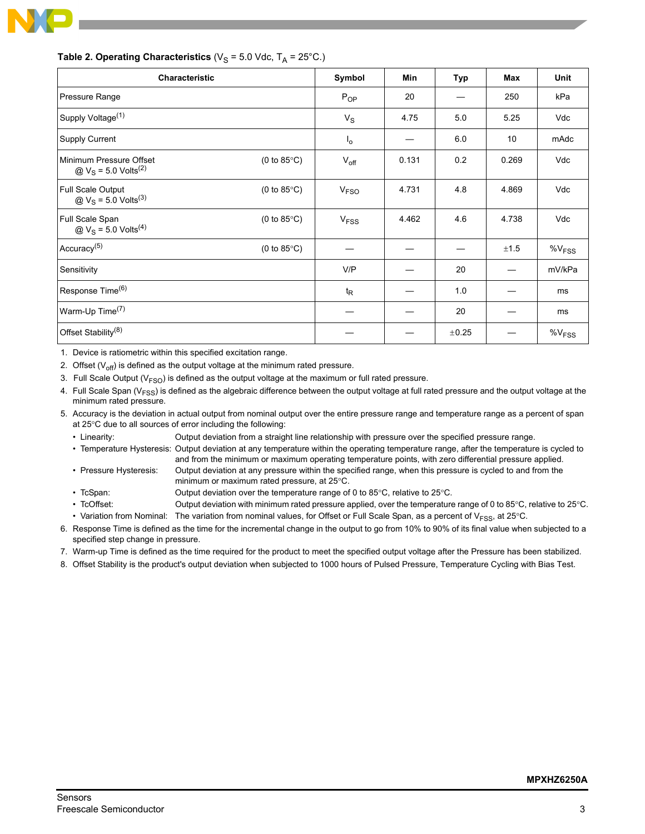

| <b>Characteristic</b>                                                                  |                       | Symbol                 | <b>Min</b> | Typ   | <b>Max</b> | <b>Unit</b> |
|----------------------------------------------------------------------------------------|-----------------------|------------------------|------------|-------|------------|-------------|
| Pressure Range                                                                         |                       | $P_{OP}$               | 20         |       | 250        | kPa         |
| Supply Voltage <sup>(1)</sup>                                                          |                       | $V_S$                  | 4.75       | 5.0   | 5.25       | Vdc         |
| <b>Supply Current</b>                                                                  |                       | $I_{\mathsf{O}}$       |            | 6.0   | 10         | mAdc        |
| Minimum Pressure Offset<br>$\textcircled{a}$ V <sub>S</sub> = 5.0 Volts <sup>(2)</sup> | $(0 to 85^{\circ}C)$  | $V_{\text{off}}$       | 0.131      | 0.2   | 0.269      | Vdc         |
| Full Scale Output<br>@ $V_S$ = 5.0 Volts <sup>(3)</sup>                                | (0 to $85^{\circ}$ C) | <b>V<sub>FSO</sub></b> | 4.731      | 4.8   | 4.869      | Vdc         |
| Full Scale Span<br>$\textcircled{a}$ V <sub>S</sub> = 5.0 Volts <sup>(4)</sup>         | (0 to $85^{\circ}$ C) | V <sub>FSS</sub>       | 4.462      | 4.6   | 4.738      | Vdc         |
| Accuracy <sup>(5)</sup>                                                                | (0 to $85^{\circ}$ C) |                        |            |       | ±1.5       | $%V_{FSS}$  |
| Sensitivity                                                                            |                       | V/P                    |            | 20    |            | mV/kPa      |
| Response Time <sup>(6)</sup>                                                           |                       | $t_{\mathsf{R}}$       |            | 1.0   |            | ms          |
| Warm-Up Time <sup>(7)</sup>                                                            |                       |                        |            | 20    |            | ms          |
| Offset Stability <sup>(8)</sup>                                                        |                       |                        |            | ±0.25 |            | $\%V_{FSS}$ |

#### **Table 2. Operating Characteristics** ( $V_S$  = 5.0 Vdc,  $T_A$  = 25°C.)

1. Device is ratiometric within this specified excitation range.

2. Offset  $(V_{off})$  is defined as the output voltage at the minimum rated pressure.

3. Full Scale Output ( $V<sub>FSO</sub>$ ) is defined as the output voltage at the maximum or full rated pressure.

- 4. Full Scale Span ( $V_{FSS}$ ) is defined as the algebraic difference between the output voltage at full rated pressure and the output voltage at the minimum rated pressure.
- 5. Accuracy is the deviation in actual output from nominal output over the entire pressure range and temperature range as a percent of span at 25°C due to all sources of error including the following:

• Linearity: Output deviation from a straight line relationship with pressure over the specified pressure range.

- Temperature Hysteresis: Output deviation at any temperature within the operating temperature range, after the temperature is cycled to and from the minimum or maximum operating temperature points, with zero differential pressure applied.
- Pressure Hysteresis: Output deviation at any pressure within the specified range, when this pressure is cycled to and from the minimum or maximum rated pressure, at 25°C.
- ï TcSpan: Output deviation over the temperature range of 0 to 85°C, relative to 25°C.
- ï TcOffset: Output deviation with minimum rated pressure applied, over the temperature range of 0 to 85°C, relative to 25°C. • Variation from Nominal: The variation from nominal values, for Offset or Full Scale Span, as a percent of V<sub>FSS</sub>, at 25°C.

6. Response Time is defined as the time for the incremental change in the output to go from 10% to 90% of its final value when subjected to a specified step change in pressure.

- 7. Warm-up Time is defined as the time required for the product to meet the specified output voltage after the Pressure has been stabilized.
- 8. Offset Stability is the product's output deviation when subjected to 1000 hours of Pulsed Pressure, Temperature Cycling with Bias Test.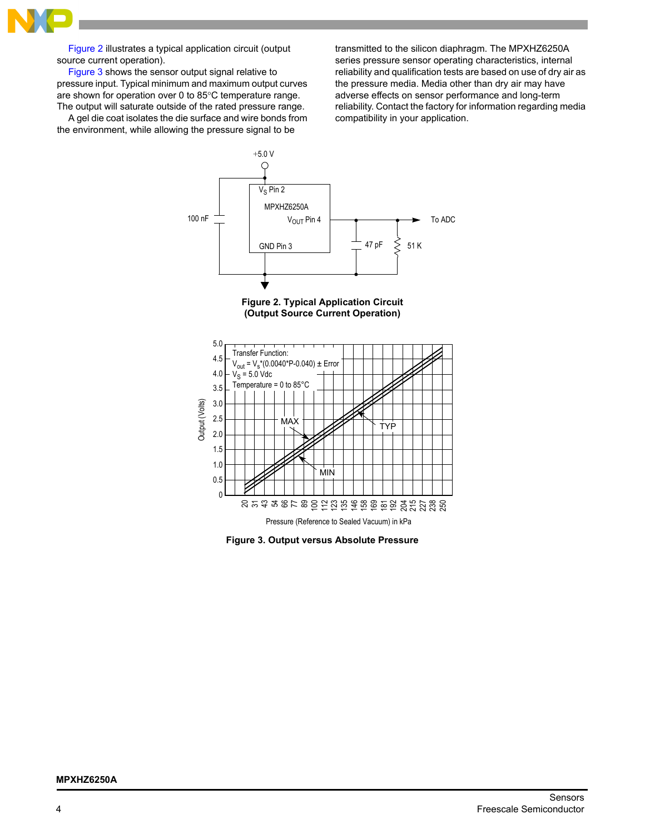

[Figure 2](#page-3-0) illustrates a typical application circuit (output source current operation).

[Figure 3](#page-3-1) shows the sensor output signal relative to pressure input. Typical minimum and maximum output curves are shown for operation over 0 to 85°C temperature range. The output will saturate outside of the rated pressure range.

A gel die coat isolates the die surface and wire bonds from the environment, while allowing the pressure signal to be

transmitted to the silicon diaphragm. The MPXHZ6250A series pressure sensor operating characteristics, internal reliability and qualification tests are based on use of dry air as the pressure media. Media other than dry air may have adverse effects on sensor performance and long-term reliability. Contact the factory for information regarding media compatibility in your application.





<span id="page-3-0"></span>

<span id="page-3-1"></span>**Figure 3. Output versus Absolute Pressure**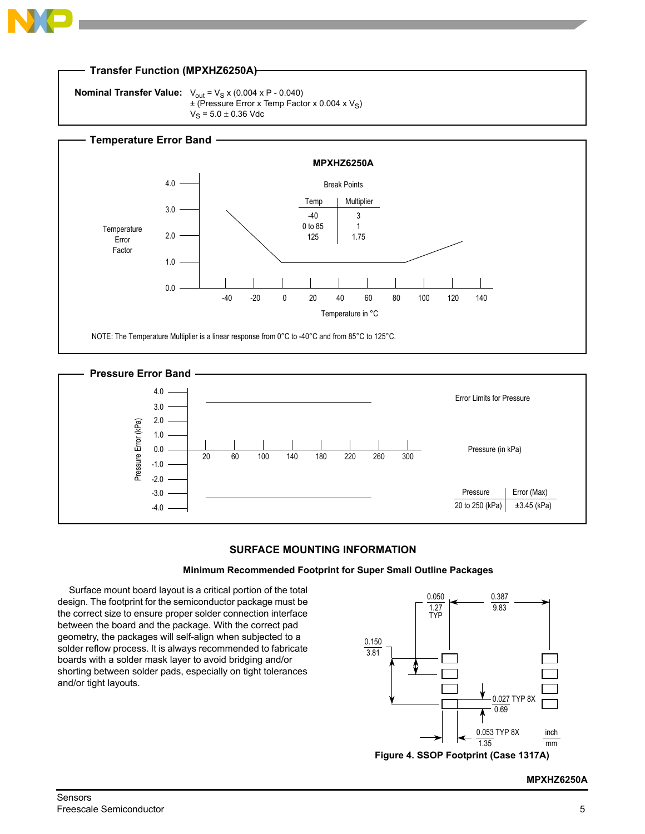



## **SURFACE MOUNTING INFORMATION**

#### **Minimum Recommended Footprint for Super Small Outline Packages**

Surface mount board layout is a critical portion of the total design. The footprint for the semiconductor package must be the correct size to ensure proper solder connection interface between the board and the package. With the correct pad geometry, the packages will self-align when subjected to a solder reflow process. It is always recommended to fabricate boards with a solder mask layer to avoid bridging and/or shorting between solder pads, especially on tight tolerances and/or tight layouts.



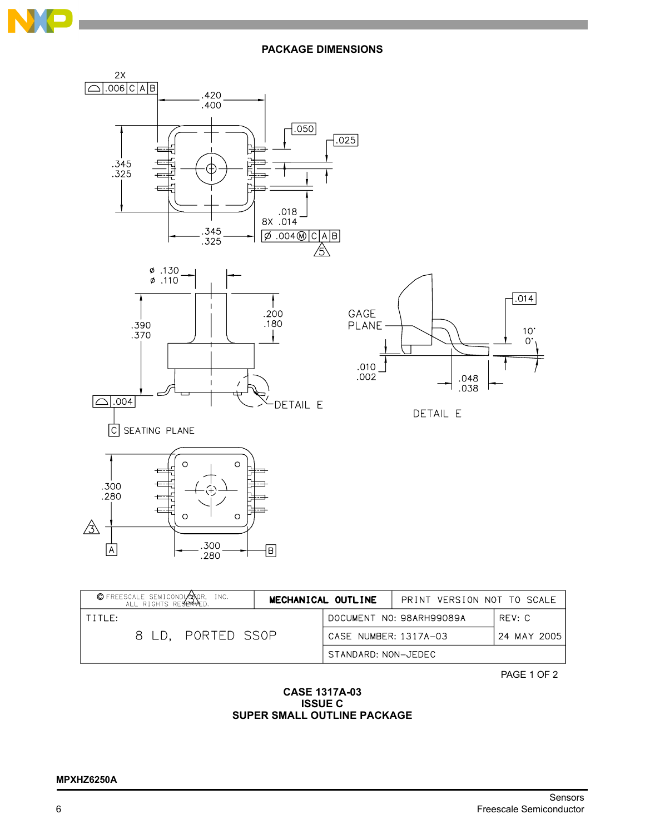

**PACKAGE DIMENSIONS**



| © FREESCALE SEMICONDUCTOR, INC.<br>ALL RIGHTS RESERVED.<br>MECHANICAL OUTLINE |  |                     | PRINT VERSION NOT TO SCALE           |        |  |
|-------------------------------------------------------------------------------|--|---------------------|--------------------------------------|--------|--|
| TITIF:                                                                        |  |                     | DOCUMENT NO: 98ARH99089A             | RFV: C |  |
| 8 LD. PORTED SSOP                                                             |  |                     | CASE NUMBER: 1317A-03<br>24 MAY 2005 |        |  |
|                                                                               |  | STANDARD: NON-JEDEC |                                      |        |  |

PAGE 1 OF 2

## **CASE 1317A-03 ISSUE C SUPER SMALL OUTLINE PACKAGE**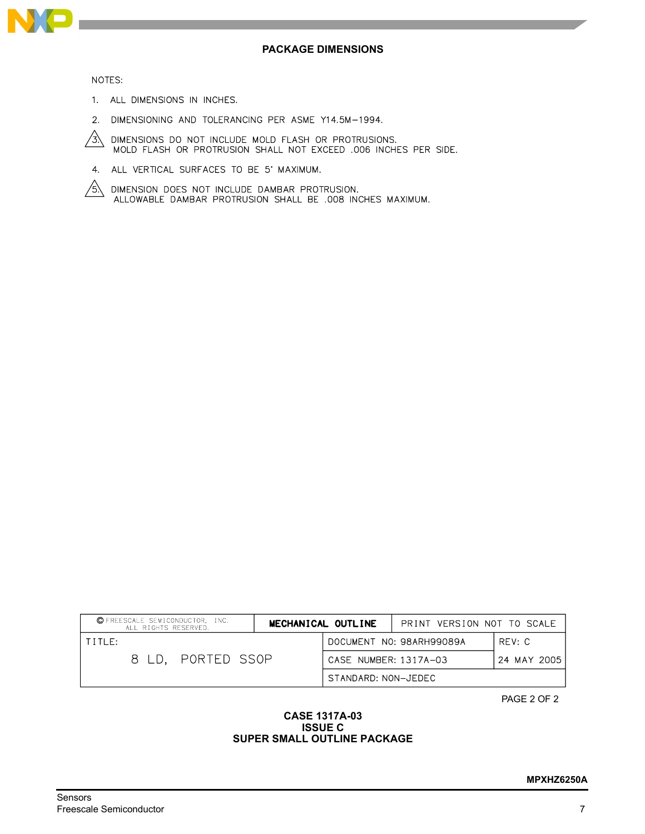

#### NOTES:

- 1. ALL DIMENSIONS IN INCHES.
- 2. DIMENSIONING AND TOLERANCING PER ASME Y14.5M-1994.
- DIMENSIONS DO NOT INCLUDE MOLD FLASH OR PROTRUSIONS.<br>MOLD FLASH OR PROTRUSION SHALL NOT EXCEED .006 INCHES PER SIDE.  $\frac{1}{3}$
- 4. ALL VERTICAL SURFACES TO BE 5' MAXIMUM.
- DIMENSION DOES NOT INCLUDE DAMBAR PROTRUSION.<br>ALLOWABLE DAMBAR PROTRUSION SHALL BE .008 INCHES MAXIMUM. /5.\

| C FREESCALE SEMICONDUCTOR, INC.<br>ALL RIGHTS RESERVED. | MECHANICAL OUTLINE  | PRINT VERSION NOT TO SCALE |             |
|---------------------------------------------------------|---------------------|----------------------------|-------------|
| TITIF:                                                  |                     | DOCUMENT NO: 98ARH99089A   | REV: C      |
| 8 LD, PORTED SSOP                                       |                     | CASE NUMBER: 1317A-03      | 24 MAY 2005 |
|                                                         | STANDARD: NON-JEDEC |                            |             |

PAGE 2 OF 2

### **CASE 1317A-03 ISSUE C SUPER SMALL OUTLINE PACKAGE**